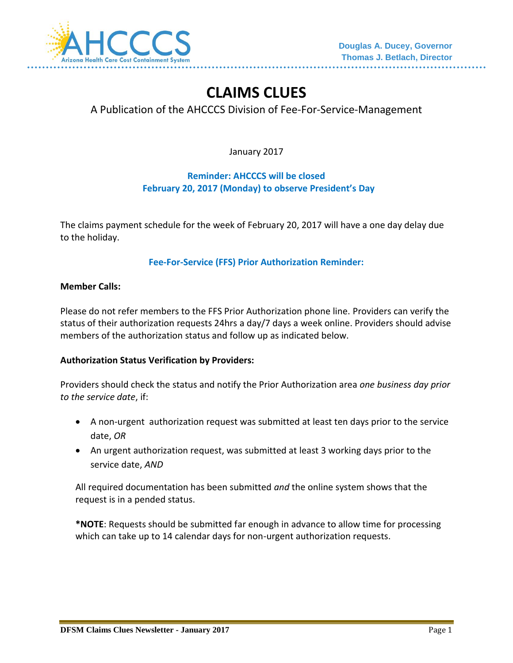

# **CLAIMS CLUES**

# A Publication of the AHCCCS Division of Fee-For-Service-Management

January 2017

## **Reminder: AHCCCS will be closed February 20, 2017 (Monday) to observe President's Day**

The claims payment schedule for the week of February 20, 2017 will have a one day delay due to the holiday.

**Fee-For-Service (FFS) Prior Authorization Reminder:**

#### **Member Calls:**

Please do not refer members to the FFS Prior Authorization phone line. Providers can verify the status of their authorization requests 24hrs a day/7 days a week online. Providers should advise members of the authorization status and follow up as indicated below.

#### **Authorization Status Verification by Providers:**

Providers should check the status and notify the Prior Authorization area *one business day prior to the service date*, if:

- A non-urgent authorization request was submitted at least ten days prior to the service date, *OR*
- An urgent authorization request, was submitted at least 3 working days prior to the service date, *AND*

All required documentation has been submitted *and* the online system shows that the request is in a pended status.

**\*NOTE**: Requests should be submitted far enough in advance to allow time for processing which can take up to 14 calendar days for non-urgent authorization requests.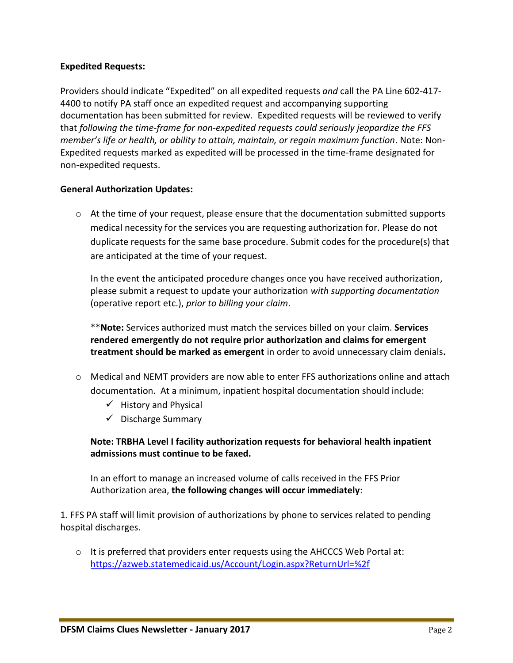## **Expedited Requests:**

Providers should indicate "Expedited" on all expedited requests *and* call the PA Line 602-417- 4400 to notify PA staff once an expedited request and accompanying supporting documentation has been submitted for review. Expedited requests will be reviewed to verify that *following the time-frame for non-expedited requests could seriously jeopardize the FFS member's life or health, or ability to attain, maintain, or regain maximum function*. Note: Non-Expedited requests marked as expedited will be processed in the time-frame designated for non-expedited requests.

#### **General Authorization Updates:**

 $\circ$  At the time of your request, please ensure that the documentation submitted supports medical necessity for the services you are requesting authorization for. Please do not duplicate requests for the same base procedure. Submit codes for the procedure(s) that are anticipated at the time of your request.

In the event the anticipated procedure changes once you have received authorization, please submit a request to update your authorization *with supporting documentation* (operative report etc.), *prior to billing your claim*.

\*\***Note:** Services authorized must match the services billed on your claim. **Services rendered emergently do not require prior authorization and claims for emergent treatment should be marked as emergent** in order to avoid unnecessary claim denials**.**

- o Medical and NEMT providers are now able to enter FFS authorizations online and attach documentation. At a minimum, inpatient hospital documentation should include:
	- $\checkmark$  History and Physical
	- $\checkmark$  Discharge Summary

**Note: TRBHA Level I facility authorization requests for behavioral health inpatient admissions must continue to be faxed.** 

In an effort to manage an increased volume of calls received in the FFS Prior Authorization area, **the following changes will occur immediately**:

1. FFS PA staff will limit provision of authorizations by phone to services related to pending hospital discharges.

 $\circ$  It is preferred that providers enter requests using the AHCCCS Web Portal at: <https://azweb.statemedicaid.us/Account/Login.aspx?ReturnUrl=%2f>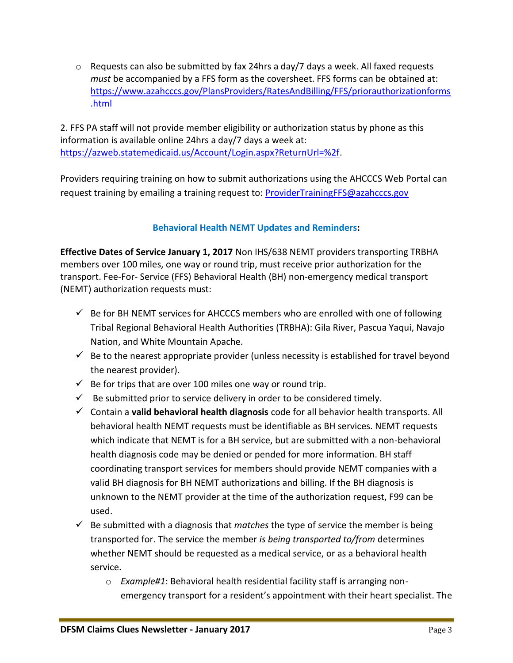$\circ$  Requests can also be submitted by fax 24hrs a day/7 days a week. All faxed requests *must* be accompanied by a FFS form as the coversheet. FFS forms can be obtained at: [https://www.azahcccs.gov/PlansProviders/RatesAndBilling/FFS/priorauthorizationforms](https://www.azahcccs.gov/PlansProviders/RatesAndBilling/FFS/priorauthorizationforms.html) [.html](https://www.azahcccs.gov/PlansProviders/RatesAndBilling/FFS/priorauthorizationforms.html)

2. FFS PA staff will not provide member eligibility or authorization status by phone as this information is available online 24hrs a day/7 days a week at: [https://azweb.statemedicaid.us/Account/Login.aspx?ReturnUrl=%2f.](https://azweb.statemedicaid.us/Account/Login.aspx?ReturnUrl=%2f)

Providers requiring training on how to submit authorizations using the AHCCCS Web Portal can request training by emailing a training request to: [ProviderTrainingFFS@azahcccs.gov](mailto:ProviderTrainingFFS@azahcccs.gov)

# **Behavioral Health NEMT Updates and Reminders:**

**Effective Dates of Service January 1, 2017** Non IHS/638 NEMT providers transporting TRBHA members over 100 miles, one way or round trip, must receive prior authorization for the transport. Fee-For- Service (FFS) Behavioral Health (BH) non-emergency medical transport (NEMT) authorization requests must:

- $\checkmark$  Be for BH NEMT services for AHCCCS members who are enrolled with one of following Tribal Regional Behavioral Health Authorities (TRBHA): Gila River, Pascua Yaqui, Navajo Nation, and White Mountain Apache.
- $\checkmark$  Be to the nearest appropriate provider (unless necessity is established for travel beyond the nearest provider).
- $\checkmark$  Be for trips that are over 100 miles one way or round trip.
- $\checkmark$  Be submitted prior to service delivery in order to be considered timely.
- Contain a **valid behavioral health diagnosis** code for all behavior health transports. All behavioral health NEMT requests must be identifiable as BH services. NEMT requests which indicate that NEMT is for a BH service, but are submitted with a non-behavioral health diagnosis code may be denied or pended for more information. BH staff coordinating transport services for members should provide NEMT companies with a valid BH diagnosis for BH NEMT authorizations and billing. If the BH diagnosis is unknown to the NEMT provider at the time of the authorization request, F99 can be used.
- $\checkmark$  Be submitted with a diagnosis that *matches* the type of service the member is being transported for. The service the member *is being transported to/from* determines whether NEMT should be requested as a medical service, or as a behavioral health service.
	- o *Example#1*: Behavioral health residential facility staff is arranging nonemergency transport for a resident's appointment with their heart specialist. The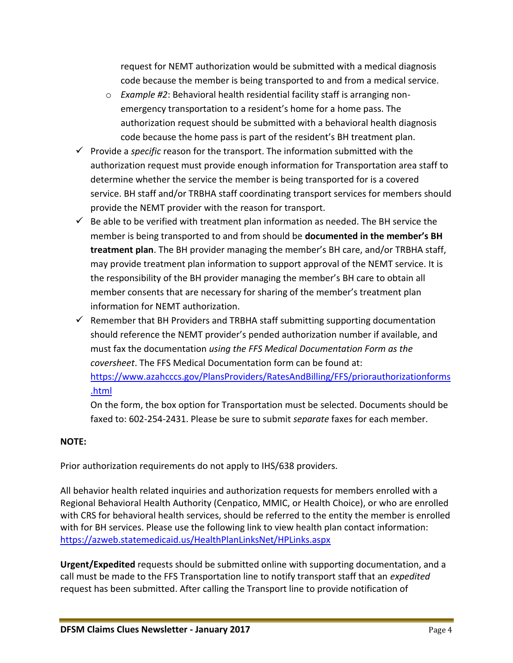request for NEMT authorization would be submitted with a medical diagnosis code because the member is being transported to and from a medical service.

- o *Example #2*: Behavioral health residential facility staff is arranging nonemergency transportation to a resident's home for a home pass. The authorization request should be submitted with a behavioral health diagnosis code because the home pass is part of the resident's BH treatment plan.
- $\checkmark$  Provide a *specific* reason for the transport. The information submitted with the authorization request must provide enough information for Transportation area staff to determine whether the service the member is being transported for is a covered service. BH staff and/or TRBHA staff coordinating transport services for members should provide the NEMT provider with the reason for transport.
- $\checkmark$  Be able to be verified with treatment plan information as needed. The BH service the member is being transported to and from should be **documented in the member's BH treatment plan**. The BH provider managing the member's BH care, and/or TRBHA staff, may provide treatment plan information to support approval of the NEMT service. It is the responsibility of the BH provider managing the member's BH care to obtain all member consents that are necessary for sharing of the member's treatment plan information for NEMT authorization.
- $\checkmark$  Remember that BH Providers and TRBHA staff submitting supporting documentation should reference the NEMT provider's pended authorization number if available, and must fax the documentation *using the FFS Medical Documentation Form as the coversheet*. The FFS Medical Documentation form can be found at: [https://www.azahcccs.gov/PlansProviders/RatesAndBilling/FFS/priorauthorizationforms](https://www.azahcccs.gov/PlansProviders/RatesAndBilling/FFS/priorauthorizationforms.html) [.html](https://www.azahcccs.gov/PlansProviders/RatesAndBilling/FFS/priorauthorizationforms.html)

On the form, the box option for Transportation must be selected. Documents should be faxed to: 602-254-2431. Please be sure to submit *separate* faxes for each member.

## **NOTE:**

Prior authorization requirements do not apply to IHS/638 providers.

All behavior health related inquiries and authorization requests for members enrolled with a Regional Behavioral Health Authority (Cenpatico, MMIC, or Health Choice), or who are enrolled with CRS for behavioral health services, should be referred to the entity the member is enrolled with for BH services. Please use the following link to view health plan contact information: <https://azweb.statemedicaid.us/HealthPlanLinksNet/HPLinks.aspx>

**Urgent/Expedited** requests should be submitted online with supporting documentation, and a call must be made to the FFS Transportation line to notify transport staff that an *expedited* request has been submitted. After calling the Transport line to provide notification of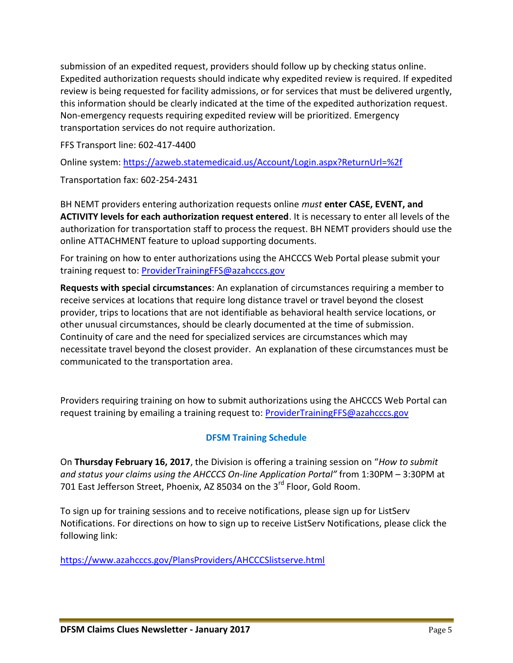submission of an expedited request, providers should follow up by checking status online. Expedited authorization requests should indicate why expedited review is required. If expedited review is being requested for facility admissions, or for services that must be delivered urgently, this information should be clearly indicated at the time of the expedited authorization request. Non-emergency requests requiring expedited review will be prioritized. Emergency transportation services do not require authorization.

FFS Transport line: 602-417-4400

Online system:<https://azweb.statemedicaid.us/Account/Login.aspx?ReturnUrl=%2f>

Transportation fax: 602-254-2431

BH NEMT providers entering authorization requests online *must* **enter CASE, EVENT, and ACTIVITY levels for each authorization request entered**. It is necessary to enter all levels of the authorization for transportation staff to process the request. BH NEMT providers should use the online ATTACHMENT feature to upload supporting documents.

For training on how to enter authorizations using the AHCCCS Web Portal please submit your training request to: [ProviderTrainingFFS@azahcccs.gov](mailto:ProviderTrainingFFS@azahcccs.gov)

**Requests with special circumstances**: An explanation of circumstances requiring a member to receive services at locations that require long distance travel or travel beyond the closest provider, trips to locations that are not identifiable as behavioral health service locations, or other unusual circumstances, should be clearly documented at the time of submission. Continuity of care and the need for specialized services are circumstances which may necessitate travel beyond the closest provider. An explanation of these circumstances must be communicated to the transportation area.

Providers requiring training on how to submit authorizations using the AHCCCS Web Portal can request training by emailing a training request to: **ProviderTrainingFFS@azahcccs.gov** 

# **DFSM Training Schedule**

On **Thursday February 16, 2017**, the Division is offering a training session on "*How to submit and status your claims using the AHCCCS On-line Application Portal"* from 1:30PM – 3:30PM at 701 East Jefferson Street, Phoenix, AZ 85034 on the 3<sup>rd</sup> Floor, Gold Room.

To sign up for training sessions and to receive notifications, please sign up for ListServ Notifications. For directions on how to sign up to receive ListServ Notifications, please click the following link:

<https://www.azahcccs.gov/PlansProviders/AHCCCSlistserve.html>